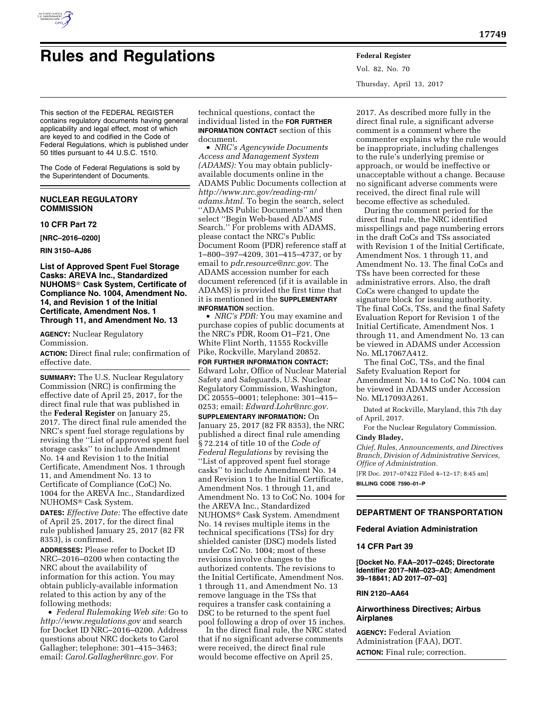

# **Rules and Regulations Federal Register**

Vol. 82, No. 70 Thursday, April 13, 2017

This section of the FEDERAL REGISTER contains regulatory documents having general applicability and legal effect, most of which are keyed to and codified in the Code of Federal Regulations, which is published under 50 titles pursuant to 44 U.S.C. 1510.

The Code of Federal Regulations is sold by the Superintendent of Documents.

# **NUCLEAR REGULATORY COMMISSION**

**10 CFR Part 72** 

**[NRC–2016–0200]** 

**RIN 3150–AJ86** 

# **List of Approved Spent Fuel Storage Casks: AREVA Inc., Standardized NUHOMS**® **Cask System, Certificate of Compliance No. 1004, Amendment No. 14, and Revision 1 of the Initial Certificate, Amendment Nos. 1 Through 11, and Amendment No. 13**

**AGENCY:** Nuclear Regulatory Commission.

**ACTION:** Direct final rule; confirmation of effective date.

**SUMMARY:** The U.S. Nuclear Regulatory Commission (NRC) is confirming the effective date of April 25, 2017, for the direct final rule that was published in the **Federal Register** on January 25, 2017. The direct final rule amended the NRC's spent fuel storage regulations by revising the ''List of approved spent fuel storage casks'' to include Amendment No. 14 and Revision 1 to the Initial Certificate, Amendment Nos. 1 through 11, and Amendment No. 13 to Certificate of Compliance (CoC) No. 1004 for the AREVA Inc., Standardized NUHOMS® Cask System.

**DATES:** *Effective Date:* The effective date of April 25, 2017, for the direct final rule published January 25, 2017 (82 FR 8353), is confirmed.

**ADDRESSES:** Please refer to Docket ID NRC–2016–0200 when contacting the NRC about the availability of information for this action. You may obtain publicly-available information related to this action by any of the following methods:

• *Federal Rulemaking Web site:* Go to *<http://www.regulations.gov>* and search for Docket ID NRC–2016–0200. Address questions about NRC dockets to Carol Gallagher; telephone: 301–415–3463; email: *[Carol.Gallagher@nrc.gov.](mailto:Carol.Gallagher@nrc.gov)* For

technical questions, contact the individual listed in the **FOR FURTHER INFORMATION CONTACT** section of this document.

• *NRC's Agencywide Documents Access and Management System (ADAMS):* You may obtain publiclyavailable documents online in the ADAMS Public Documents collection at *[http://www.nrc.gov/reading-rm/](http://www.nrc.gov/reading-rm/adams.html)  [adams.html.](http://www.nrc.gov/reading-rm/adams.html)* To begin the search, select ''ADAMS Public Documents'' and then select ''Begin Web-based ADAMS Search.'' For problems with ADAMS, please contact the NRC's Public Document Room (PDR) reference staff at 1–800–397–4209, 301–415–4737, or by email to *[pdr.resource@nrc.gov.](mailto:pdr.resource@nrc.gov)* The ADAMS accession number for each document referenced (if it is available in ADAMS) is provided the first time that it is mentioned in the **SUPPLEMENTARY INFORMATION** section.

• *NRC's PDR:* You may examine and purchase copies of public documents at the NRC's PDR, Room O1–F21, One White Flint North, 11555 Rockville Pike, Rockville, Maryland 20852.

**FOR FURTHER INFORMATION CONTACT:**  Edward Lohr, Office of Nuclear Material Safety and Safeguards, U.S. Nuclear Regulatory Commission, Washington, DC 20555–0001; telephone: 301–415– 0253; email: *[Edward.Lohr@nrc.gov.](mailto:Edward.Lohr@nrc.gov)* 

**SUPPLEMENTARY INFORMATION:** On January 25, 2017 (82 FR 8353), the NRC published a direct final rule amending § 72.214 of title 10 of the *Code of Federal Regulations* by revising the ''List of approved spent fuel storage casks'' to include Amendment No. 14 and Revision 1 to the Initial Certificate, Amendment Nos. 1 through 11, and Amendment No. 13 to CoC No. 1004 for the AREVA Inc., Standardized NUHOMS® Cask System. Amendment No. 14 revises multiple items in the technical specifications (TSs) for dry shielded canister (DSC) models listed under CoC No. 1004; most of these revisions involve changes to the authorized contents. The revisions to the Initial Certificate, Amendment Nos. 1 through 11, and Amendment No. 13 remove language in the TSs that requires a transfer cask containing a DSC to be returned to the spent fuel pool following a drop of over 15 inches.

In the direct final rule, the NRC stated that if no significant adverse comments were received, the direct final rule would become effective on April 25,

2017. As described more fully in the direct final rule, a significant adverse comment is a comment where the commenter explains why the rule would be inappropriate, including challenges to the rule's underlying premise or approach, or would be ineffective or unacceptable without a change. Because no significant adverse comments were received, the direct final rule will become effective as scheduled.

During the comment period for the direct final rule, the NRC identified misspellings and page numbering errors in the draft CoCs and TSs associated with Revision 1 of the Initial Certificate, Amendment Nos. 1 through 11, and Amendment No. 13. The final CoCs and TSs have been corrected for these administrative errors. Also, the draft CoCs were changed to update the signature block for issuing authority. The final CoCs, TSs, and the final Safety Evaluation Report for Revision 1 of the Initial Certificate, Amendment Nos. 1 through 11, and Amendment No. 13 can be viewed in ADAMS under Accession No. ML17067A412.

The final CoC, TSs, and the final Safety Evaluation Report for Amendment No. 14 to CoC No. 1004 can be viewed in ADAMS under Accession No. ML17093A261.

Dated at Rockville, Maryland, this 7th day of April, 2017.

For the Nuclear Regulatory Commission. **Cindy Bladey,** 

# *Chief, Rules, Announcements, and Directives Branch, Division of Administrative Services,*

*Office of Administration.*  [FR Doc. 2017–07422 Filed 4–12–17; 8:45 am] **BILLING CODE 7590–01–P** 

# **DEPARTMENT OF TRANSPORTATION**

**Federal Aviation Administration** 

# **14 CFR Part 39**

**[Docket No. FAA–2017–0245; Directorate Identifier 2017–NM–023–AD; Amendment 39–18841; AD 2017–07–03]** 

# **RIN 2120–AA64**

# **Airworthiness Directives; Airbus Airplanes**

**AGENCY:** Federal Aviation Administration (FAA), DOT. **ACTION:** Final rule; correction.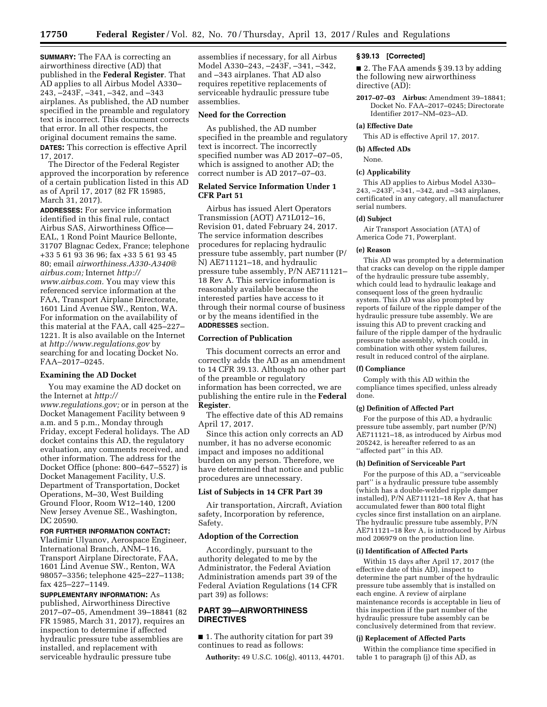**SUMMARY:** The FAA is correcting an airworthiness directive (AD) that published in the **Federal Register**. That AD applies to all Airbus Model A330– 243, –243F, –341, –342, and –343 airplanes. As published, the AD number specified in the preamble and regulatory text is incorrect. This document corrects that error. In all other respects, the original document remains the same. **DATES:** This correction is effective April 17, 2017.

The Director of the Federal Register approved the incorporation by reference of a certain publication listed in this AD as of April 17, 2017 (82 FR 15985, March 31, 2017).

**ADDRESSES:** For service information identified in this final rule, contact Airbus SAS, Airworthiness Office— EAL, 1 Rond Point Maurice Bellonte, 31707 Blagnac Cedex, France; telephone +33 5 61 93 36 96; fax +33 5 61 93 45 80; email *[airworthiness.A330-A340@](mailto:airworthiness.A330-A340@airbus.com) [airbus.com;](mailto:airworthiness.A330-A340@airbus.com)* Internet *[http://](http://www.airbus.com) [www.airbus.com.](http://www.airbus.com)* You may view this referenced service information at the FAA, Transport Airplane Directorate, 1601 Lind Avenue SW., Renton, WA. For information on the availability of this material at the FAA, call 425–227– 1221. It is also available on the Internet at *<http://www.regulations.gov>* by searching for and locating Docket No. FAA–2017–0245.

#### **Examining the AD Docket**

You may examine the AD docket on the Internet at *[http://](http://www.regulations.gov) [www.regulations.gov;](http://www.regulations.gov)* or in person at the Docket Management Facility between 9 a.m. and 5 p.m., Monday through Friday, except Federal holidays. The AD docket contains this AD, the regulatory evaluation, any comments received, and other information. The address for the Docket Office (phone: 800–647–5527) is Docket Management Facility, U.S. Department of Transportation, Docket Operations, M–30, West Building Ground Floor, Room W12–140, 1200 New Jersey Avenue SE., Washington, DC 20590.

## **FOR FURTHER INFORMATION CONTACT:**

Vladimir Ulyanov, Aerospace Engineer, International Branch, ANM–116, Transport Airplane Directorate, FAA, 1601 Lind Avenue SW., Renton, WA 98057–3356; telephone 425–227–1138; fax 425–227–1149.

**SUPPLEMENTARY INFORMATION:** As published, Airworthiness Directive 2017–07–05, Amendment 39–18841 (82 FR 15985, March 31, 2017), requires an inspection to determine if affected hydraulic pressure tube assemblies are installed, and replacement with serviceable hydraulic pressure tube

assemblies if necessary, for all Airbus Model A330–243, –243F, –341, –342, and –343 airplanes. That AD also requires repetitive replacements of serviceable hydraulic pressure tube assemblies.

# **Need for the Correction**

As published, the AD number specified in the preamble and regulatory text is incorrect. The incorrectly specified number was AD 2017–07–05, which is assigned to another AD; the correct number is AD 2017–07–03.

# **Related Service Information Under 1 CFR Part 51**

Airbus has issued Alert Operators Transmission (AOT) A71L012–16, Revision 01, dated February 24, 2017. The service information describes procedures for replacing hydraulic pressure tube assembly, part number (P/ N) AE711121–18, and hydraulic pressure tube assembly, P/N AE711121– 18 Rev A. This service information is reasonably available because the interested parties have access to it through their normal course of business or by the means identified in the **ADDRESSES** section.

#### **Correction of Publication**

This document corrects an error and correctly adds the AD as an amendment to 14 CFR 39.13. Although no other part of the preamble or regulatory information has been corrected, we are publishing the entire rule in the **Federal Register**.

The effective date of this AD remains April 17, 2017.

Since this action only corrects an AD number, it has no adverse economic impact and imposes no additional burden on any person. Therefore, we have determined that notice and public procedures are unnecessary.

# **List of Subjects in 14 CFR Part 39**

Air transportation, Aircraft, Aviation safety, Incorporation by reference, Safety.

#### **Adoption of the Correction**

Accordingly, pursuant to the authority delegated to me by the Administrator, the Federal Aviation Administration amends part 39 of the Federal Aviation Regulations (14 CFR part 39) as follows:

# **PART 39—AIRWORTHINESS DIRECTIVES**

■ 1. The authority citation for part 39 continues to read as follows:

**Authority:** 49 U.S.C. 106(g), 40113, 44701.

#### **§ 39.13 [Corrected]**

■ 2. The FAA amends § 39.13 by adding the following new airworthiness directive (AD):

**2017–07–03 Airbus:** Amendment 39–18841; Docket No. FAA–2017–0245; Directorate Identifier 2017–NM–023–AD.

## **(a) Effective Date**

This AD is effective April 17, 2017.

**(b) Affected ADs** 

## None.

## **(c) Applicability**

This AD applies to Airbus Model A330– 243, –243F, –341, –342, and –343 airplanes, certificated in any category, all manufacturer serial numbers.

#### **(d) Subject**

Air Transport Association (ATA) of America Code 71, Powerplant.

## **(e) Reason**

This AD was prompted by a determination that cracks can develop on the ripple damper of the hydraulic pressure tube assembly, which could lead to hydraulic leakage and consequent loss of the green hydraulic system. This AD was also prompted by reports of failure of the ripple damper of the hydraulic pressure tube assembly. We are issuing this AD to prevent cracking and failure of the ripple damper of the hydraulic pressure tube assembly, which could, in combination with other system failures, result in reduced control of the airplane.

#### **(f) Compliance**

Comply with this AD within the compliance times specified, unless already done.

# **(g) Definition of Affected Part**

For the purpose of this AD, a hydraulic pressure tube assembly, part number (P/N) AE711121–18, as introduced by Airbus mod 205242, is hereafter referred to as an "affected part" in this AD.

#### **(h) Definition of Serviceable Part**

For the purpose of this AD, a ''serviceable part'' is a hydraulic pressure tube assembly (which has a double-welded ripple damper installed), P/N AE711121–18 Rev A, that has accumulated fewer than 800 total flight cycles since first installation on an airplane. The hydraulic pressure tube assembly, P/N AE711121–18 Rev A, is introduced by Airbus mod 206979 on the production line.

#### **(i) Identification of Affected Parts**

Within 15 days after April 17, 2017 (the effective date of this AD), inspect to determine the part number of the hydraulic pressure tube assembly that is installed on each engine. A review of airplane maintenance records is acceptable in lieu of this inspection if the part number of the hydraulic pressure tube assembly can be conclusively determined from that review.

# **(j) Replacement of Affected Parts**

Within the compliance time specified in table 1 to paragraph (j) of this  $A\bar{D}$ , as